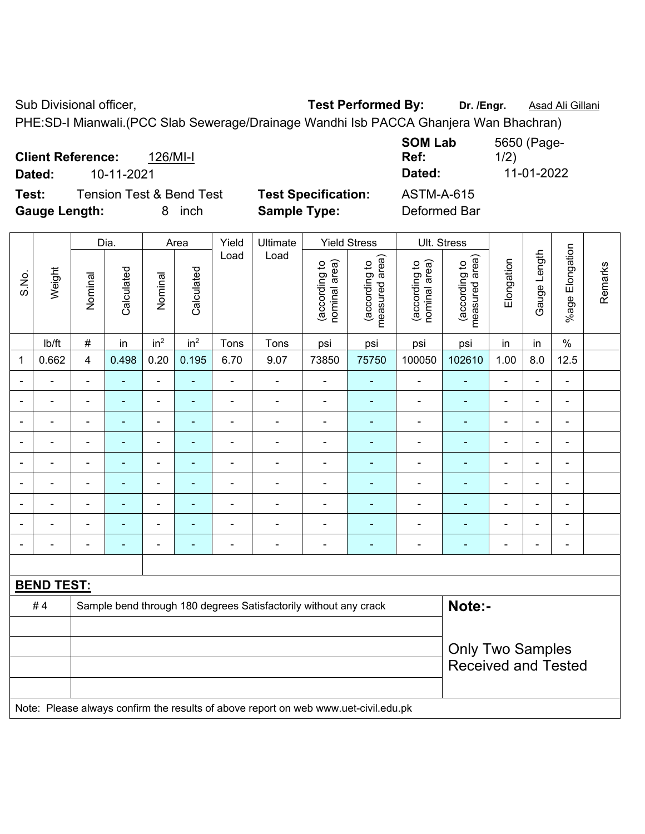Sub Divisional officer, **Test Performed By:** Dr. /Engr. **Asad Ali Gillani** Associated By: Dr. /Engr. **Asad Ali Gillani** 

PHE:SD-I Mianwali.(PCC Slab Sewerage/Drainage Wandhi Isb PACCA Ghanjera Wan Bhachran)

| <b>Client Reference:</b> | 126/MI-I                            |                            | <b>SOM Lab</b><br>Ref: | 5650 (Page-<br>1/2) |
|--------------------------|-------------------------------------|----------------------------|------------------------|---------------------|
| Dated:                   | 10-11-2021                          |                            | Dated:                 | 11-01-2022          |
| Test:                    | <b>Tension Test &amp; Bend Test</b> | <b>Test Specification:</b> | <b>ASTM-A-615</b>      |                     |
| <b>Gauge Length:</b>     | inch<br>8.                          | <b>Sample Type:</b>        | Deformed Bar           |                     |

|                |                   |                                                                                     | Dia.                     |                 | Area            | Yield          | Ultimate                                                         |                                | <b>Yield Stress</b>             | Ult. Stress                    |                                 |                          |                |                          |         |
|----------------|-------------------|-------------------------------------------------------------------------------------|--------------------------|-----------------|-----------------|----------------|------------------------------------------------------------------|--------------------------------|---------------------------------|--------------------------------|---------------------------------|--------------------------|----------------|--------------------------|---------|
| S.No.          | Weight            | Nominal                                                                             | Calculated               | Nominal         | Calculated      | Load           | Load                                                             | nominal area)<br>(according to | (according to<br>measured area) | (according to<br>nominal area) | (according to<br>measured area) | Elongation               | Gauge Length   | Elongation<br>$%$ age I  | Remarks |
|                | lb/ft             | $\#$                                                                                | in                       | in <sup>2</sup> | in <sup>2</sup> | Tons           | Tons                                                             | psi                            | psi                             | psi                            | psi                             | in                       | in             | $\frac{1}{2}$            |         |
| 1              | 0.662             | $\overline{\mathbf{4}}$                                                             | 0.498                    | 0.20            | 0.195           | 6.70           | 9.07                                                             | 73850                          | 75750                           | 100050                         | 102610                          | 1.00                     | 8.0            | 12.5                     |         |
| $\blacksquare$ |                   | $\blacksquare$                                                                      |                          | $\blacksquare$  | L.              | ÷              |                                                                  | $\blacksquare$                 | ۳                               | $\blacksquare$                 |                                 | $\blacksquare$           | ä,             | $\blacksquare$           |         |
| $\blacksquare$ |                   | $\blacksquare$                                                                      | ۰                        | $\blacksquare$  | $\blacksquare$  | $\blacksquare$ | $\blacksquare$                                                   | $\qquad \qquad \blacksquare$   | ٠                               | $\blacksquare$                 | ۰                               | $\overline{\phantom{0}}$ | $\overline{a}$ | $\blacksquare$           |         |
| ä,             | $\overline{a}$    | $\blacksquare$                                                                      | ä,                       | $\blacksquare$  | ÷,              | ÷              | ä,                                                               | $\blacksquare$                 | $\blacksquare$                  | $\blacksquare$                 | ÷                               | $\blacksquare$           | ä,             | $\blacksquare$           |         |
| $\blacksquare$ | ۰                 | $\blacksquare$                                                                      | $\blacksquare$           | $\blacksquare$  | ÷               | $\blacksquare$ | $\overline{\phantom{a}}$                                         | $\blacksquare$                 | $\blacksquare$                  | $\overline{a}$                 | $\blacksquare$                  | $\blacksquare$           | ä,             | $\blacksquare$           |         |
| ÷              | $\blacksquare$    | $\blacksquare$                                                                      | ä,                       | ä,              | ÷,              | ÷              | ä,                                                               | $\blacksquare$                 | $\blacksquare$                  | $\blacksquare$                 | ÷                               | $\blacksquare$           | $\blacksquare$ | $\blacksquare$           |         |
|                |                   | $\blacksquare$                                                                      | ÷,                       | $\blacksquare$  | ä,              | ÷              | $\blacksquare$                                                   | $\blacksquare$                 | $\blacksquare$                  | $\blacksquare$                 | $\blacksquare$                  | $\blacksquare$           | $\blacksquare$ | $\blacksquare$           |         |
|                |                   |                                                                                     | $\blacksquare$           | ٠               | ä,              | $\blacksquare$ | ٠                                                                | $\blacksquare$                 | ۳                               |                                | ÷                               |                          | $\blacksquare$ | $\blacksquare$           |         |
|                |                   |                                                                                     |                          | Ē,              |                 |                |                                                                  | $\overline{a}$                 |                                 |                                | Ē.                              |                          | L              | $\blacksquare$           |         |
| $\blacksquare$ |                   | $\blacksquare$                                                                      | $\overline{\phantom{0}}$ | ۰               | ۰               | $\blacksquare$ | $\blacksquare$                                                   | $\qquad \qquad \blacksquare$   | ٠                               | $\qquad \qquad \blacksquare$   | ۰                               | $\blacksquare$           | $\overline{a}$ | $\overline{\phantom{a}}$ |         |
|                |                   |                                                                                     |                          |                 |                 |                |                                                                  |                                |                                 |                                |                                 |                          |                |                          |         |
|                | <b>BEND TEST:</b> |                                                                                     |                          |                 |                 |                |                                                                  |                                |                                 |                                |                                 |                          |                |                          |         |
|                | #4                |                                                                                     |                          |                 |                 |                | Sample bend through 180 degrees Satisfactorily without any crack |                                |                                 |                                | Note:-                          |                          |                |                          |         |
|                |                   |                                                                                     |                          |                 |                 |                |                                                                  |                                |                                 |                                |                                 |                          |                |                          |         |
|                |                   |                                                                                     |                          |                 |                 |                |                                                                  |                                |                                 |                                | <b>Only Two Samples</b>         |                          |                |                          |         |
|                |                   |                                                                                     |                          |                 |                 |                |                                                                  |                                |                                 |                                | <b>Received and Tested</b>      |                          |                |                          |         |
|                |                   |                                                                                     |                          |                 |                 |                |                                                                  |                                |                                 |                                |                                 |                          |                |                          |         |
|                |                   | Note: Please always confirm the results of above report on web www.uet-civil.edu.pk |                          |                 |                 |                |                                                                  |                                |                                 |                                |                                 |                          |                |                          |         |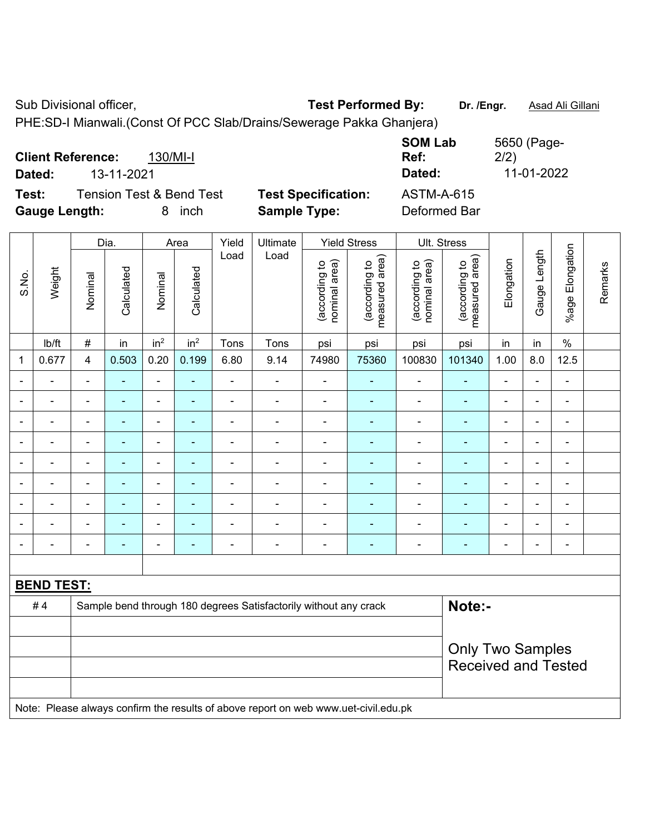Sub Divisional officer, **Test Performed By:** Dr. /Engr. **Asad Ali Gillani** Associated By: Dr. /Engr. **Asad Ali Gillani** 

PHE:SD-I Mianwali.(Const Of PCC Slab/Drains/Sewerage Pakka Ghanjera)

| <b>Client Reference:</b><br>130/MI-I<br>13-11-2021<br>Dated: |                            | <b>SOM Lab</b><br>Ref:<br>Dated: | 5650 (Page-<br>2/2)<br>11-01-2022 |
|--------------------------------------------------------------|----------------------------|----------------------------------|-----------------------------------|
| Test:<br><b>Tension Test &amp; Bend Test</b>                 | <b>Test Specification:</b> | <b>ASTM-A-615</b>                |                                   |
| <b>Gauge Length:</b><br>inch<br>8.                           | <b>Sample Type:</b>        | Deformed Bar                     |                                   |

|                |                   |                                                                                     | Dia.                     |                              | Area                     | Yield                    | Ultimate                                                         |                                | <b>Yield Stress</b>             |                                | Ult. Stress                     |                          |                |                          |         |
|----------------|-------------------|-------------------------------------------------------------------------------------|--------------------------|------------------------------|--------------------------|--------------------------|------------------------------------------------------------------|--------------------------------|---------------------------------|--------------------------------|---------------------------------|--------------------------|----------------|--------------------------|---------|
| S.No.          | Weight            | Nominal                                                                             | Calculated               | Nominal                      | Calculated               | Load                     | Load                                                             | nominal area)<br>(according to | measured area)<br>(according to | nominal area)<br>(according to | measured area)<br>(according to | Elongation               | Gauge Length   | %age Elongation          | Remarks |
|                | lb/ft             | $\#$                                                                                | in                       | in <sup>2</sup>              | in <sup>2</sup>          | Tons                     | Tons                                                             | psi                            | psi                             | psi                            | psi                             | in                       | in             | $\%$                     |         |
| $\mathbf 1$    | 0.677             | 4                                                                                   | 0.503                    | 0.20                         | 0.199                    | 6.80                     | 9.14                                                             | 74980                          | 75360                           | 100830                         | 101340                          | 1.00                     | 8.0            | 12.5                     |         |
| $\blacksquare$ |                   | $\overline{a}$                                                                      | ÷                        | $\blacksquare$               | ٠                        | ÷.                       | $\blacksquare$                                                   | $\blacksquare$                 | ٠                               | $\blacksquare$                 | $\blacksquare$                  | $\blacksquare$           | $\blacksquare$ | $\overline{\phantom{a}}$ |         |
| $\blacksquare$ | $\blacksquare$    | $\blacksquare$                                                                      | ٠                        | $\qquad \qquad \blacksquare$ | $\blacksquare$           | $\blacksquare$           | $\overline{\phantom{a}}$                                         | $\blacksquare$                 | $\blacksquare$                  | $\overline{\phantom{a}}$       | $\blacksquare$                  | $\overline{\phantom{a}}$ | $\blacksquare$ | $\blacksquare$           |         |
| $\blacksquare$ |                   | ٠                                                                                   | ÷                        | $\overline{\phantom{a}}$     | ۰                        | $\overline{\phantom{0}}$ | $\overline{\phantom{0}}$                                         | $\blacksquare$                 | ۰                               | $\overline{\phantom{a}}$       | ٠                               | $\overline{\phantom{a}}$ | $\blacksquare$ | $\overline{\phantom{a}}$ |         |
| $\blacksquare$ | $\blacksquare$    | Ē,                                                                                  | $\blacksquare$           | $\blacksquare$               | $\blacksquare$           | $\blacksquare$           | $\blacksquare$                                                   | $\blacksquare$                 | $\blacksquare$                  | $\blacksquare$                 | $\blacksquare$                  | $\blacksquare$           | ä,             | $\blacksquare$           |         |
|                | $\blacksquare$    | $\overline{\phantom{a}}$                                                            | ä,                       | $\blacksquare$               | $\blacksquare$           | ÷.                       | ÷.                                                               | $\blacksquare$                 | ۰                               | $\blacksquare$                 | $\blacksquare$                  | $\overline{\phantom{a}}$ | ä,             | $\blacksquare$           |         |
|                |                   | Ē,                                                                                  | ۰                        | ÷,                           | ÷                        | ÷                        | $\blacksquare$                                                   | $\blacksquare$                 | ۰                               | $\blacksquare$                 | $\blacksquare$                  | $\overline{\phantom{a}}$ | L,             | $\blacksquare$           |         |
|                |                   |                                                                                     |                          | $\blacksquare$               | $\blacksquare$           |                          |                                                                  |                                | $\blacksquare$                  |                                | ۳                               |                          | Ē,             | $\blacksquare$           |         |
|                |                   |                                                                                     |                          | $\blacksquare$               |                          |                          | $\blacksquare$                                                   | $\blacksquare$                 | $\blacksquare$                  |                                | ۳                               |                          | $\blacksquare$ | $\blacksquare$           |         |
| $\blacksquare$ |                   | ٠                                                                                   | $\overline{\phantom{0}}$ | ۰                            | $\overline{\phantom{0}}$ | ۰                        | $\blacksquare$                                                   | $\overline{\phantom{0}}$       | $\overline{\phantom{0}}$        | $\blacksquare$                 | ٠                               | $\overline{\phantom{0}}$ | $\blacksquare$ | $\overline{\phantom{a}}$ |         |
|                |                   |                                                                                     |                          |                              |                          |                          |                                                                  |                                |                                 |                                |                                 |                          |                |                          |         |
|                | <b>BEND TEST:</b> |                                                                                     |                          |                              |                          |                          |                                                                  |                                |                                 |                                |                                 |                          |                |                          |         |
|                | #4                |                                                                                     |                          |                              |                          |                          | Sample bend through 180 degrees Satisfactorily without any crack |                                |                                 |                                | Note:-                          |                          |                |                          |         |
|                |                   |                                                                                     |                          |                              |                          |                          |                                                                  |                                |                                 |                                |                                 |                          |                |                          |         |
|                |                   |                                                                                     |                          |                              |                          |                          |                                                                  |                                |                                 |                                | <b>Only Two Samples</b>         |                          |                |                          |         |
|                |                   |                                                                                     |                          |                              |                          |                          |                                                                  |                                |                                 |                                | <b>Received and Tested</b>      |                          |                |                          |         |
|                |                   |                                                                                     |                          |                              |                          |                          |                                                                  |                                |                                 |                                |                                 |                          |                |                          |         |
|                |                   | Note: Please always confirm the results of above report on web www.uet-civil.edu.pk |                          |                              |                          |                          |                                                                  |                                |                                 |                                |                                 |                          |                |                          |         |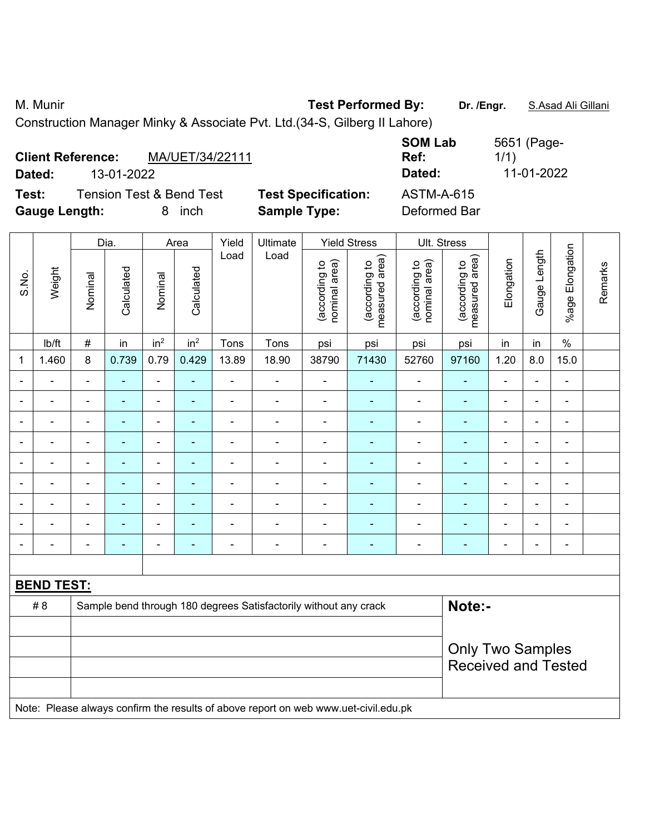M. Munir **Test Performed By: Dr. /Engr.** S.Asad Ali Gillani

Construction Manager Minky & Associate Pvt. Ltd.(34-S, Gilberg II Lahore)

| <b>Client Reference:</b><br>Dated: | 13-01-2022                          | MA/UET/34/22111 |                            | <b>SOM Lab</b><br>Ref:<br>Dated: | 5651 (Page-<br>1/1)<br>11-01-2022 |
|------------------------------------|-------------------------------------|-----------------|----------------------------|----------------------------------|-----------------------------------|
| Test:                              | <b>Tension Test &amp; Bend Test</b> |                 | <b>Test Specification:</b> | <b>ASTM-A-615</b>                |                                   |
| <b>Gauge Length:</b>               |                                     | inch            | <b>Sample Type:</b>        | Deformed Bar                     |                                   |

|                |                   |                | Dia.                                                             |                 | Area                     | Yield          | Ultimate                                                                            |                                | <b>Yield Stress</b>               |                                | Ult. Stress                     |                          |                |                 |         |
|----------------|-------------------|----------------|------------------------------------------------------------------|-----------------|--------------------------|----------------|-------------------------------------------------------------------------------------|--------------------------------|-----------------------------------|--------------------------------|---------------------------------|--------------------------|----------------|-----------------|---------|
| S.No.          | Weight            | Nominal        | Calculated                                                       | Nominal         | Calculated               | Load           | Load                                                                                | nominal area)<br>(according to | (according to  <br>measured area) | nominal area)<br>(according to | (according to<br>measured area) | Elongation               | Gauge Length   | %age Elongation | Remarks |
|                | lb/ft             | $\#$           | in                                                               | in <sup>2</sup> | in <sup>2</sup>          | Tons           | Tons                                                                                | psi                            | psi                               | psi                            | psi                             | in                       | in             | $\%$            |         |
| 1              | 1.460             | 8              | 0.739                                                            | 0.79            | 0.429                    | 13.89          | 18.90                                                                               | 38790                          | 71430                             | 52760                          | 97160                           | 1.20                     | 8.0            | 15.0            |         |
|                | ä,                | $\blacksquare$ | ÷                                                                | $\blacksquare$  | $\blacksquare$           | $\blacksquare$ | $\blacksquare$                                                                      | $\blacksquare$                 | $\blacksquare$                    | $\blacksquare$                 | $\blacksquare$                  | $\blacksquare$           | $\blacksquare$ | $\blacksquare$  |         |
| $\blacksquare$ | ÷,                | $\blacksquare$ | $\blacksquare$                                                   | $\frac{1}{2}$   | $\blacksquare$           | $\blacksquare$ | $\blacksquare$                                                                      | $\blacksquare$                 | $\blacksquare$                    | $\blacksquare$                 | $\blacksquare$                  | $\overline{\phantom{a}}$ | $\blacksquare$ | $\blacksquare$  |         |
|                | $\blacksquare$    | $\blacksquare$ | ä,                                                               | $\blacksquare$  | $\blacksquare$           | $\blacksquare$ | $\blacksquare$                                                                      | $\blacksquare$                 | $\blacksquare$                    | $\blacksquare$                 | $\blacksquare$                  | $\blacksquare$           | $\blacksquare$ | $\blacksquare$  |         |
|                | $\blacksquare$    |                | $\blacksquare$                                                   | $\blacksquare$  | $\blacksquare$           | $\blacksquare$ | $\blacksquare$                                                                      | $\blacksquare$                 | $\blacksquare$                    | $\blacksquare$                 | $\blacksquare$                  | $\blacksquare$           | L,             | $\blacksquare$  |         |
|                | Ě.                |                | ä,                                                               | $\blacksquare$  | $\overline{\phantom{a}}$ | ä,             | ä,                                                                                  | ä,                             | ä,                                | $\blacksquare$                 | $\blacksquare$                  |                          | L,             | $\blacksquare$  |         |
|                | L                 |                | ÷                                                                | $\blacksquare$  |                          | $\blacksquare$ | $\blacksquare$                                                                      | $\blacksquare$                 | $\blacksquare$                    | $\blacksquare$                 | $\blacksquare$                  |                          | ä,             | $\blacksquare$  |         |
|                | $\blacksquare$    |                | $\blacksquare$                                                   | $\blacksquare$  | $\blacksquare$           | $\blacksquare$ | $\blacksquare$                                                                      | $\overline{\phantom{a}}$       | $\blacksquare$                    | $\blacksquare$                 | $\blacksquare$                  | $\blacksquare$           | $\blacksquare$ | $\blacksquare$  |         |
| ÷              | $\blacksquare$    |                |                                                                  | $\blacksquare$  |                          | $\blacksquare$ | $\blacksquare$                                                                      | $\blacksquare$                 | ٠                                 | $\blacksquare$                 | $\blacksquare$                  | $\blacksquare$           | -              | $\blacksquare$  |         |
| $\blacksquare$ | $\blacksquare$    | $\blacksquare$ | ۰                                                                | ÷,              | $\blacksquare$           | $\blacksquare$ | $\blacksquare$                                                                      | $\blacksquare$                 | $\blacksquare$                    | $\blacksquare$                 | $\blacksquare$                  | $\overline{\phantom{a}}$ | $\blacksquare$ | $\blacksquare$  |         |
|                |                   |                |                                                                  |                 |                          |                |                                                                                     |                                |                                   |                                |                                 |                          |                |                 |         |
|                | <b>BEND TEST:</b> |                |                                                                  |                 |                          |                |                                                                                     |                                |                                   |                                |                                 |                          |                |                 |         |
|                | # 8               |                | Sample bend through 180 degrees Satisfactorily without any crack |                 | Note:-                   |                |                                                                                     |                                |                                   |                                |                                 |                          |                |                 |         |
|                |                   |                |                                                                  |                 |                          |                |                                                                                     |                                |                                   |                                |                                 |                          |                |                 |         |
|                |                   |                |                                                                  |                 |                          |                |                                                                                     |                                |                                   |                                | <b>Only Two Samples</b>         |                          |                |                 |         |
|                |                   |                |                                                                  |                 |                          |                |                                                                                     |                                |                                   |                                | <b>Received and Tested</b>      |                          |                |                 |         |
|                |                   |                |                                                                  |                 |                          |                |                                                                                     |                                |                                   |                                |                                 |                          |                |                 |         |
|                |                   |                |                                                                  |                 |                          |                | Note: Please always confirm the results of above report on web www.uet-civil.edu.pk |                                |                                   |                                |                                 |                          |                |                 |         |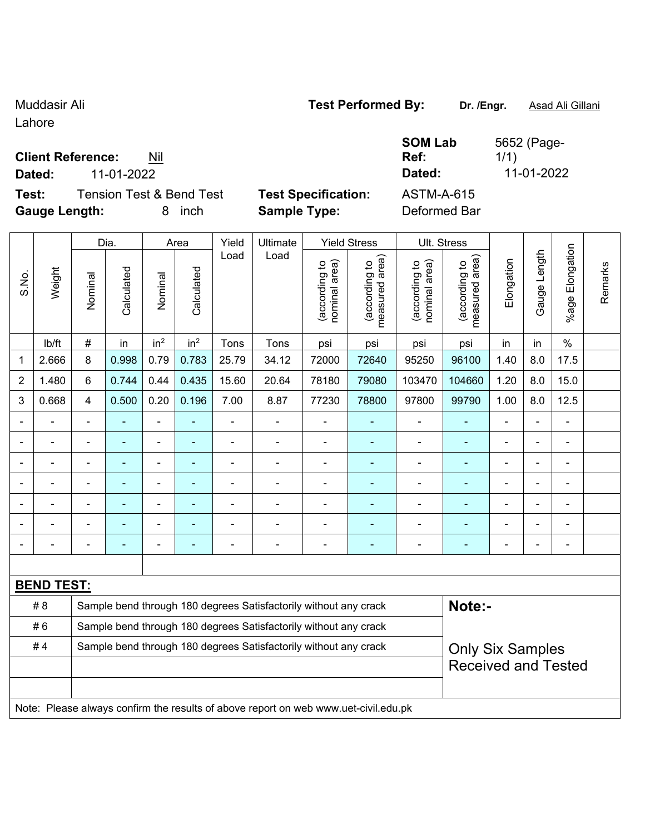## Lahore

## **Client Reference:** Nil

**Dated:** 11-01-2022 **Dated:** 11-01-2022

| Test:          | <b>Gauge Length:</b> |         |            | 8               | <b>Tension Test &amp; Bend Test</b><br>inch |       | <b>Sample Type:</b> | <b>Test Specification:</b>          |                                      | <b>ASTM-A-615</b><br>Deformed Bar       |                                                 |            |                 |                       |
|----------------|----------------------|---------|------------|-----------------|---------------------------------------------|-------|---------------------|-------------------------------------|--------------------------------------|-----------------------------------------|-------------------------------------------------|------------|-----------------|-----------------------|
|                |                      |         | Dia.       |                 | Area                                        | Yield | Ultimate            |                                     | <b>Yield Stress</b>                  |                                         | Ult. Stress                                     |            |                 |                       |
| S.No.          | Weight               | Nominal | Calculated | Nominal         | Calculated                                  | Load  | Load                | area)<br>요<br>(according<br>nominal | area)<br>đ<br>(according<br>measured | area)<br>요<br>(according<br>nominal are | rea)<br><u>م</u><br>(according<br>ω<br>measured | Elongation | Length<br>Gauge | Elongation<br>$%aq$ e |
|                | lb/ft                | #       | in         | in <sup>2</sup> | in <sup>2</sup>                             | Tons  | <b>Tons</b>         | psi                                 | psi                                  | psi                                     | psi                                             | in         | in              | $\%$                  |
| 1              | 2.666                | 8       | 0.998      | 0.79            | 0.783                                       | 25.79 | 34.12               | 72000                               | 72640                                | 95250                                   | 96100                                           | 1.40       | 8.0             | 17.5                  |
| $\overline{2}$ | 1.480                | 6       | 0.744      | 0.44            | 0.435                                       | 15.60 | 20.64               | 78180                               | 79080                                | 103470                                  | 104660                                          | 1.20       | 8.0             | 15.0                  |

3 | 0.668 | 4 | 0.500 | 0.20 | 0.196 | 7.00 | 8.87 | 77230 | 78800 | 97800 | 99790 | 1.00 | 8.0 | 12.5 - - - - - - - - - - - - - - -

|                   |     |                                                                  |  |                          | $\overline{\phantom{0}}$ |                |                                                                  |                          |                                                                  |  | $=$                      | $\overline{\phantom{0}}$   |                          |                          |  |
|-------------------|-----|------------------------------------------------------------------|--|--------------------------|--------------------------|----------------|------------------------------------------------------------------|--------------------------|------------------------------------------------------------------|--|--------------------------|----------------------------|--------------------------|--------------------------|--|
|                   |     |                                                                  |  | -                        | $\overline{\phantom{0}}$ | $\blacksquare$ | $\overline{\phantom{0}}$                                         | $\overline{\phantom{0}}$ |                                                                  |  | $\overline{\phantom{0}}$ | $\overline{\phantom{0}}$   | $\overline{\phantom{0}}$ | $\blacksquare$           |  |
|                   |     |                                                                  |  | $\overline{\phantom{0}}$ | $\sim$                   | $\blacksquare$ | $\blacksquare$                                                   | $\blacksquare$           |                                                                  |  | ٠                        | $\blacksquare$             | $\overline{\phantom{0}}$ | $\overline{\phantom{0}}$ |  |
|                   |     |                                                                  |  |                          | -                        |                |                                                                  | $\overline{\phantom{0}}$ |                                                                  |  |                          | $\overline{\phantom{0}}$   |                          |                          |  |
|                   |     |                                                                  |  | -                        | ۰                        |                | $\overline{\phantom{0}}$                                         | $\blacksquare$           |                                                                  |  | ۳                        | $\overline{\phantom{0}}$   |                          |                          |  |
|                   |     |                                                                  |  | ۰                        | ۰                        |                | ٠                                                                | $\blacksquare$           |                                                                  |  | $\overline{\phantom{0}}$ | ٠                          | $\overline{\phantom{0}}$ |                          |  |
|                   |     |                                                                  |  |                          |                          |                |                                                                  |                          |                                                                  |  |                          |                            |                          |                          |  |
| <b>BEND TEST:</b> |     |                                                                  |  |                          |                          |                |                                                                  |                          |                                                                  |  |                          |                            |                          |                          |  |
|                   | # 8 |                                                                  |  |                          |                          |                | Sample bend through 180 degrees Satisfactorily without any crack |                          |                                                                  |  | Note:-                   |                            |                          |                          |  |
|                   | # 6 |                                                                  |  |                          |                          |                |                                                                  |                          | Sample bend through 180 degrees Satisfactorily without any crack |  |                          |                            |                          |                          |  |
|                   | #4  | Sample bend through 180 degrees Satisfactorily without any crack |  | <b>Only Six Samples</b>  |                          |                |                                                                  |                          |                                                                  |  |                          |                            |                          |                          |  |
|                   |     |                                                                  |  |                          |                          |                |                                                                  |                          |                                                                  |  |                          | <b>Received and Tested</b> |                          |                          |  |
|                   |     |                                                                  |  |                          |                          |                |                                                                  |                          |                                                                  |  |                          |                            |                          |                          |  |

Note: Please always confirm the results of above report on web www.uet-civil.edu.pk

## Muddasir Ali **Muddasir Ali** *Test Performed By:* **Dr. /Engr.** Asad Ali Gillani

**SOM Lab Ref:** 

1/1)

5652 (Page-

Remarks

Remarks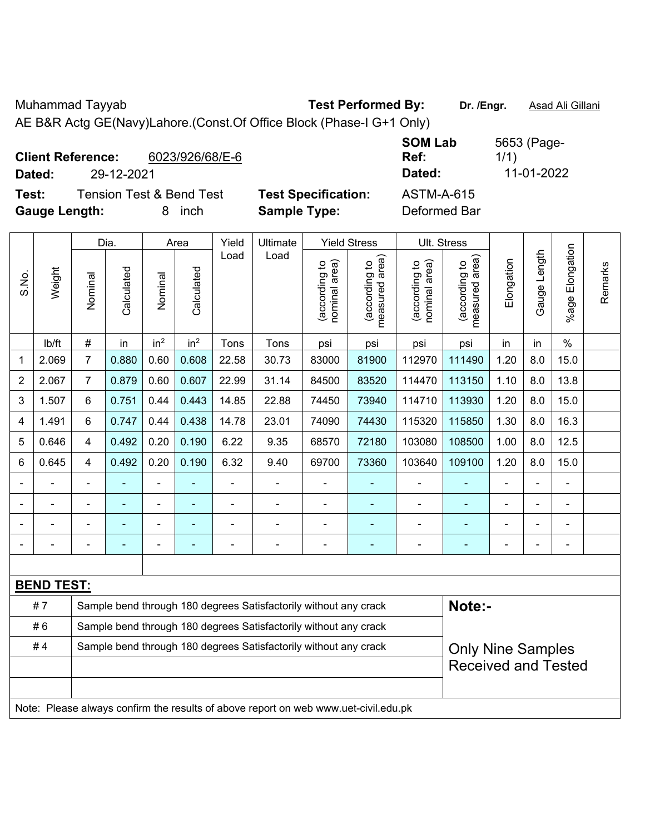Muhammad Tayyab **Test Performed By: Dr. /Engr.** Asad Ali Gillani

AE B&R Actg GE(Navy)Lahore.(Const.Of Office Block (Phase-I G+1 Only)

| <b>Client Reference:</b> |                                     | 6023/926/68/E-6 |                            | <b>SOM Lab</b><br>Ref: | 5653 (Page-<br>1/1) |
|--------------------------|-------------------------------------|-----------------|----------------------------|------------------------|---------------------|
| Dated:                   | 29-12-2021                          |                 |                            | Dated:                 | 11-01-2022          |
| Test:                    | <b>Tension Test &amp; Bend Test</b> |                 | <b>Test Specification:</b> | <b>ASTM-A-615</b>      |                     |
| <b>Gauge Length:</b>     |                                     | inch<br>8       | <b>Sample Type:</b>        | Deformed Bar           |                     |

|                |                   |                                                                                     | Dia.                     |                                              | Area            | Yield | Ultimate                                                         | <b>Yield Stress</b>            |                                             | Ult. Stress                    |                                 |                |                |                       |         |
|----------------|-------------------|-------------------------------------------------------------------------------------|--------------------------|----------------------------------------------|-----------------|-------|------------------------------------------------------------------|--------------------------------|---------------------------------------------|--------------------------------|---------------------------------|----------------|----------------|-----------------------|---------|
| S.No.          | Weight            | Nominal                                                                             | Calculated               | Nominal                                      | Calculated      | Load  | Load                                                             | nominal area)<br>(according to | (according to<br>neasured area)<br>measured | nominal area)<br>(according to | measured area)<br>(according to | Elongation     | Gauge Length   | Elongation<br>$%$ age | Remarks |
|                | lb/ft             | $\#$                                                                                | in                       | in <sup>2</sup>                              | in <sup>2</sup> | Tons  | Tons                                                             | psi                            | psi                                         | psi                            | psi                             | in             | in             | $\%$                  |         |
| 1              | 2.069             | $\overline{7}$                                                                      | 0.880                    | 0.60                                         | 0.608           | 22.58 | 30.73                                                            | 83000                          | 81900                                       | 112970                         | 111490                          | 1.20           | 8.0            | 15.0                  |         |
| $\overline{2}$ | 2.067             | $\overline{7}$                                                                      | 0.879                    | 0.60                                         | 0.607           | 22.99 | 31.14                                                            | 84500                          | 83520                                       | 114470                         | 113150                          | 1.10           | 8.0            | 13.8                  |         |
| 3              | 1.507             | 6                                                                                   | 0.751                    | 0.44                                         | 0.443           | 14.85 | 22.88                                                            | 74450                          | 73940                                       | 114710                         | 113930                          | 1.20           | 8.0            | 15.0                  |         |
| 4              | 1.491             | 6                                                                                   | 0.747                    | 0.44                                         | 0.438           | 14.78 | 23.01                                                            | 74090                          | 74430                                       | 115320                         | 115850                          | 1.30           | 8.0            | 16.3                  |         |
| 5              | 0.646             | 4                                                                                   | 0.492                    | 0.20                                         | 0.190           | 6.22  | 9.35                                                             | 68570                          | 72180                                       | 103080                         | 108500                          | 1.00           | 8.0            | 12.5                  |         |
| 6              | 0.645             | 4                                                                                   | 0.492                    | 0.20                                         | 0.190           | 6.32  | 9.40                                                             | 69700                          | 73360                                       | 103640                         | 109100                          | 1.20           | 8.0            | 15.0                  |         |
|                |                   |                                                                                     |                          | L,<br>L,<br>ä,<br>ä,<br>ä,<br>ä,<br>L,<br>Ē, |                 |       |                                                                  |                                |                                             |                                |                                 |                |                |                       |         |
|                |                   |                                                                                     |                          |                                              |                 |       |                                                                  |                                | $\blacksquare$                              |                                |                                 |                |                | $\blacksquare$        |         |
|                |                   |                                                                                     |                          | ä,                                           |                 |       |                                                                  |                                |                                             |                                |                                 |                |                |                       |         |
| $\blacksquare$ |                   | $\blacksquare$                                                                      | $\overline{\phantom{0}}$ | -                                            | ÷               | L,    | $\blacksquare$                                                   | $\blacksquare$                 | $\overline{a}$                              | ٠                              |                                 | $\blacksquare$ | $\blacksquare$ | $\blacksquare$        |         |
|                |                   |                                                                                     |                          |                                              |                 |       |                                                                  |                                |                                             |                                |                                 |                |                |                       |         |
|                | <b>BEND TEST:</b> |                                                                                     |                          |                                              |                 |       |                                                                  |                                |                                             |                                |                                 |                |                |                       |         |
|                | #7                | Sample bend through 180 degrees Satisfactorily without any crack<br>Note:-          |                          |                                              |                 |       |                                                                  |                                |                                             |                                |                                 |                |                |                       |         |
|                | #6                | Sample bend through 180 degrees Satisfactorily without any crack                    |                          |                                              |                 |       |                                                                  |                                |                                             |                                |                                 |                |                |                       |         |
|                | #4                |                                                                                     |                          |                                              |                 |       | Sample bend through 180 degrees Satisfactorily without any crack |                                |                                             |                                | <b>Only Nine Samples</b>        |                |                |                       |         |
|                |                   |                                                                                     |                          |                                              |                 |       |                                                                  |                                |                                             |                                | <b>Received and Tested</b>      |                |                |                       |         |
|                |                   |                                                                                     |                          |                                              |                 |       |                                                                  |                                |                                             |                                |                                 |                |                |                       |         |
|                |                   | Note: Please always confirm the results of above report on web www.uet-civil.edu.pk |                          |                                              |                 |       |                                                                  |                                |                                             |                                |                                 |                |                |                       |         |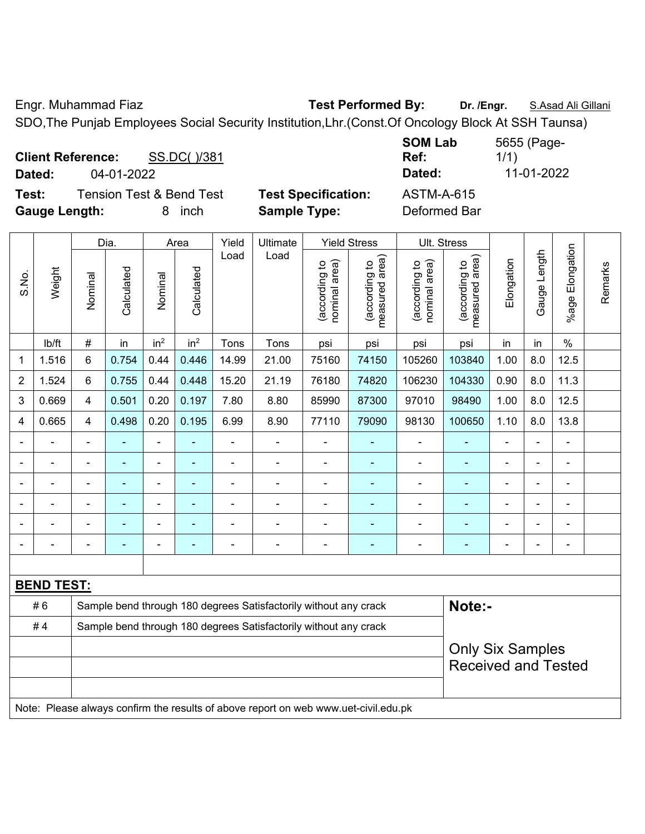Engr. Muhammad Fiaz **Test Performed By: Dr. /Engr.** S.Asad Ali Gillani

SDO,The Punjab Employees Social Security Institution,Lhr.(Const.Of Oncology Block At SSH Taunsa)

| <b>Client Reference:</b><br>Dated: | 04-01-2022               | SS.DC()/381      |                            | <b>SOM Lab</b><br>Ref:<br>Dated: | 5655 (Page-<br>1/1)<br>11-01-2022 |
|------------------------------------|--------------------------|------------------|----------------------------|----------------------------------|-----------------------------------|
| Test:                              | Tension Test & Bend Test |                  | <b>Test Specification:</b> | <b>ASTM-A-615</b>                |                                   |
| <b>Gauge Length:</b>               |                          | <i>inch</i><br>8 | <b>Sample Type:</b>        | Deformed Bar                     |                                   |

|                          |                   |                                                                                     | Dia.                     |                 | Area                     | Yield          |                                                                  | Ult. Stress                    |                                 |                                |                                 |                |                              |                       |         |
|--------------------------|-------------------|-------------------------------------------------------------------------------------|--------------------------|-----------------|--------------------------|----------------|------------------------------------------------------------------|--------------------------------|---------------------------------|--------------------------------|---------------------------------|----------------|------------------------------|-----------------------|---------|
| S.No.                    | Weight            | Nominal                                                                             | Calculated               | Nominal         | Calculated               | Load           | Load                                                             | nominal area)<br>(according to | (according to<br>measured area) | nominal area)<br>(according to | measured area)<br>(according to | Elongation     | Gauge Length                 | Elongation<br>$%$ age | Remarks |
|                          | lb/ft             | $\#$                                                                                | in                       | in <sup>2</sup> | in <sup>2</sup>          | Tons           | Tons                                                             | psi                            | psi                             | psi                            | psi                             | in             | in                           | $\%$                  |         |
| 1                        | 1.516             | $6\phantom{1}$                                                                      | 0.754                    | 0.44            | 0.446                    | 14.99          | 21.00                                                            | 75160                          | 74150                           | 105260                         | 103840                          | 1.00           | 8.0                          | 12.5                  |         |
| $\overline{2}$           | 1.524             | 6                                                                                   | 0.755                    | 0.44            | 0.448                    | 15.20          | 21.19                                                            | 76180                          | 74820                           | 106230                         | 104330                          | 0.90           | 8.0                          | 11.3                  |         |
| 3                        | 0.669             | $\overline{4}$                                                                      | 0.501                    | 0.20            | 0.197                    | 7.80           | 8.80                                                             | 85990                          | 87300                           | 97010                          | 98490                           | 1.00           | 8.0                          | 12.5                  |         |
| 4                        | 0.665             | 4                                                                                   | 0.498                    | 0.20            | 0.195                    | 6.99           | 8.90                                                             | 77110                          | 79090                           | 98130                          | 100650                          | 1.10           | 8.0                          | 13.8                  |         |
|                          |                   |                                                                                     | $\blacksquare$           | $\blacksquare$  |                          | ÷,             | ÷,                                                               | $\overline{a}$                 | $\blacksquare$                  | $\blacksquare$                 |                                 | $\blacksquare$ | ä,                           | $\overline{a}$        |         |
|                          | $\blacksquare$    | $\blacksquare$                                                                      | $\blacksquare$           | $\blacksquare$  | $\blacksquare$           | $\blacksquare$ | $\blacksquare$                                                   | $\blacksquare$                 | $\blacksquare$                  | $\blacksquare$                 | ÷                               | $\blacksquare$ | $\blacksquare$               | $\blacksquare$        |         |
|                          |                   |                                                                                     | $\blacksquare$           | $\blacksquare$  |                          | ä,             | $\blacksquare$                                                   | $\blacksquare$                 | $\blacksquare$                  | Ē,                             | ÷                               | $\blacksquare$ | $\blacksquare$               | ä,                    |         |
|                          |                   |                                                                                     | $\overline{\phantom{a}}$ |                 |                          |                |                                                                  |                                | $\blacksquare$                  | Ē,                             |                                 |                |                              | ä,                    |         |
|                          |                   |                                                                                     |                          | $\blacksquare$  |                          |                |                                                                  |                                |                                 |                                |                                 |                |                              |                       |         |
| $\overline{\phantom{0}}$ |                   |                                                                                     | $\overline{a}$           | $\blacksquare$  | $\overline{\phantom{a}}$ | $\blacksquare$ | $\blacksquare$                                                   | $\overline{\phantom{0}}$       | $\overline{\phantom{0}}$        | ÷                              | ٠                               | ۰              | $\qquad \qquad \blacksquare$ | ä,                    |         |
|                          |                   |                                                                                     |                          |                 |                          |                |                                                                  |                                |                                 |                                |                                 |                |                              |                       |         |
|                          | <b>BEND TEST:</b> |                                                                                     |                          |                 |                          |                |                                                                  |                                |                                 |                                |                                 |                |                              |                       |         |
|                          | #6                | Note:-<br>Sample bend through 180 degrees Satisfactorily without any crack          |                          |                 |                          |                |                                                                  |                                |                                 |                                |                                 |                |                              |                       |         |
|                          | #4                |                                                                                     |                          |                 |                          |                | Sample bend through 180 degrees Satisfactorily without any crack |                                |                                 |                                |                                 |                |                              |                       |         |
|                          |                   |                                                                                     |                          |                 |                          |                |                                                                  |                                |                                 |                                | <b>Only Six Samples</b>         |                |                              |                       |         |
|                          |                   |                                                                                     |                          |                 |                          |                |                                                                  |                                |                                 |                                | <b>Received and Tested</b>      |                |                              |                       |         |
|                          |                   |                                                                                     |                          |                 |                          |                |                                                                  |                                |                                 |                                |                                 |                |                              |                       |         |
|                          |                   | Note: Please always confirm the results of above report on web www.uet-civil.edu.pk |                          |                 |                          |                |                                                                  |                                |                                 |                                |                                 |                |                              |                       |         |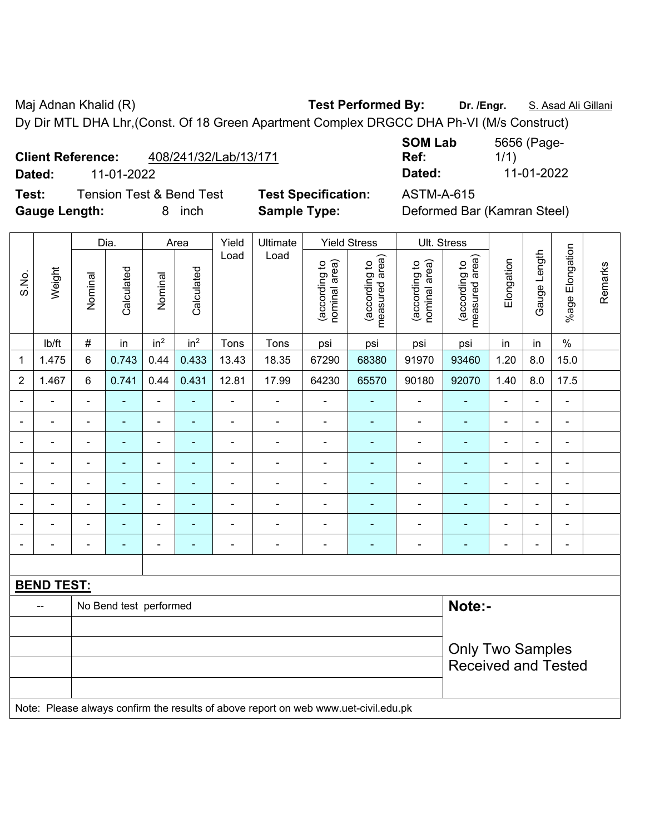Maj Adnan Khalid (R) **Test Performed By:** Dr. /Engr. **S. Asad Ali Gillani** Ali Gillani

Dy Dir MTL DHA Lhr,(Const. Of 18 Green Apartment Complex DRGCC DHA Ph-VI (M/s Construct)

| <b>Client Reference:</b> | 408/241/32/Lab/13/171 |
|--------------------------|-----------------------|
|                          |                       |

**Test:** Tension Test & Bend Test **Test Specification:** ASTM-A-615 **Gauge Length:** 8 inch **Sample Type:** Deformed Bar (Kamran Steel)

**SOM Lab Ref:**  5656 (Page-1/1) **Dated:** 11-01-2022 **Dated:** 11-01-2022

|                          | Weight                                                                              | Dia.                             |                | Area            |                 | Yield          | Ultimate                 | <b>Yield Stress</b>            |                                 | Ult. Stress                    |                                 |                          |                              |                 |         |
|--------------------------|-------------------------------------------------------------------------------------|----------------------------------|----------------|-----------------|-----------------|----------------|--------------------------|--------------------------------|---------------------------------|--------------------------------|---------------------------------|--------------------------|------------------------------|-----------------|---------|
| S.No.                    |                                                                                     | Nominal                          | Calculated     | Nominal         | Calculated      | Load           | Load                     | nominal area)<br>(according to | (according to<br>measured area) | nominal area)<br>(according to | measured area)<br>(according to | Elongation               | Gauge Length                 | %age Elongation | Remarks |
|                          | lb/ft                                                                               | $\#$                             | in             | in <sup>2</sup> | in <sup>2</sup> | Tons           | Tons                     | psi                            | psi                             | psi                            | psi                             | in                       | in                           | $\%$            |         |
| 1                        | 1.475                                                                               | 6                                | 0.743          | 0.44            | 0.433           | 13.43          | 18.35                    | 67290                          | 68380                           | 91970                          | 93460                           | 1.20                     | 8.0                          | 15.0            |         |
| $\overline{2}$           | 1.467                                                                               | 6                                | 0.741          | 0.44            | 0.431           | 12.81          | 17.99                    | 64230                          | 65570                           | 90180                          | 92070                           | 1.40                     | 8.0                          | 17.5            |         |
| $\blacksquare$           |                                                                                     | $\overline{a}$                   | ÷.             | $\blacksquare$  | $\blacksquare$  | $\blacksquare$ | $\blacksquare$           | $\blacksquare$                 | ۰                               | $\blacksquare$                 | $\overline{a}$                  | $\blacksquare$           | ä,                           | ä,              |         |
| $\overline{a}$           |                                                                                     | $\blacksquare$                   | $\blacksquare$ | $\blacksquare$  | $\blacksquare$  | $\overline{a}$ | $\frac{1}{2}$            | $\blacksquare$                 | $\blacksquare$                  | $\overline{\phantom{a}}$       | ٠                               | $\overline{\phantom{a}}$ | ÷,                           | $\blacksquare$  |         |
| $\overline{\phantom{a}}$ | $\blacksquare$                                                                      | $\blacksquare$                   | $\blacksquare$ | $\blacksquare$  | $\blacksquare$  | $\blacksquare$ | $\overline{\phantom{a}}$ | $\blacksquare$                 | ۰                               | $\qquad \qquad \blacksquare$   | ٠                               | $\blacksquare$           | ÷,                           | $\blacksquare$  |         |
| $\blacksquare$           |                                                                                     | $\blacksquare$                   | $\blacksquare$ | $\blacksquare$  | $\blacksquare$  | $\blacksquare$ | $\blacksquare$           | $\blacksquare$                 | ۰                               | $\blacksquare$                 | $\blacksquare$                  | $\overline{\phantom{a}}$ | $\qquad \qquad \blacksquare$ | $\blacksquare$  |         |
| $\blacksquare$           | $\blacksquare$                                                                      | $\blacksquare$                   | ä,             | $\blacksquare$  | $\blacksquare$  | $\blacksquare$ | $\blacksquare$           | ÷,                             | ۰                               | $\blacksquare$                 | $\blacksquare$                  | $\blacksquare$           | ä,                           | $\blacksquare$  |         |
|                          |                                                                                     | $\overline{\phantom{a}}$         | ä,             | $\blacksquare$  | $\blacksquare$  | $\overline{a}$ | $\blacksquare$           | $\blacksquare$                 | $\blacksquare$                  | $\blacksquare$                 | ÷                               | ÷,                       | Ē,                           | $\blacksquare$  |         |
|                          |                                                                                     |                                  | $\blacksquare$ | ۳               | ۳               | $\blacksquare$ | $\blacksquare$           |                                | ۰                               | $\blacksquare$                 | $\blacksquare$                  |                          | L                            | $\blacksquare$  |         |
| $\blacksquare$           |                                                                                     | $\blacksquare$                   | ÷,             | ä,              | $\blacksquare$  | Ē,             | $\blacksquare$           | $\blacksquare$                 | ۰                               | $\blacksquare$                 | $\blacksquare$                  | $\blacksquare$           | ä,                           | $\blacksquare$  |         |
|                          |                                                                                     |                                  |                |                 |                 |                |                          |                                |                                 |                                |                                 |                          |                              |                 |         |
|                          | <b>BEND TEST:</b>                                                                   |                                  |                |                 |                 |                |                          |                                |                                 |                                |                                 |                          |                              |                 |         |
|                          |                                                                                     | Note:-<br>No Bend test performed |                |                 |                 |                |                          |                                |                                 |                                |                                 |                          |                              |                 |         |
|                          |                                                                                     |                                  |                |                 |                 |                |                          |                                |                                 |                                |                                 |                          |                              |                 |         |
|                          |                                                                                     | <b>Only Two Samples</b>          |                |                 |                 |                |                          |                                |                                 |                                |                                 |                          |                              |                 |         |
|                          |                                                                                     |                                  |                |                 |                 |                |                          |                                | <b>Received and Tested</b>      |                                |                                 |                          |                              |                 |         |
|                          |                                                                                     |                                  |                |                 |                 |                |                          |                                |                                 |                                |                                 |                          |                              |                 |         |
|                          | Note: Please always confirm the results of above report on web www.uet-civil.edu.pk |                                  |                |                 |                 |                |                          |                                |                                 |                                |                                 |                          |                              |                 |         |